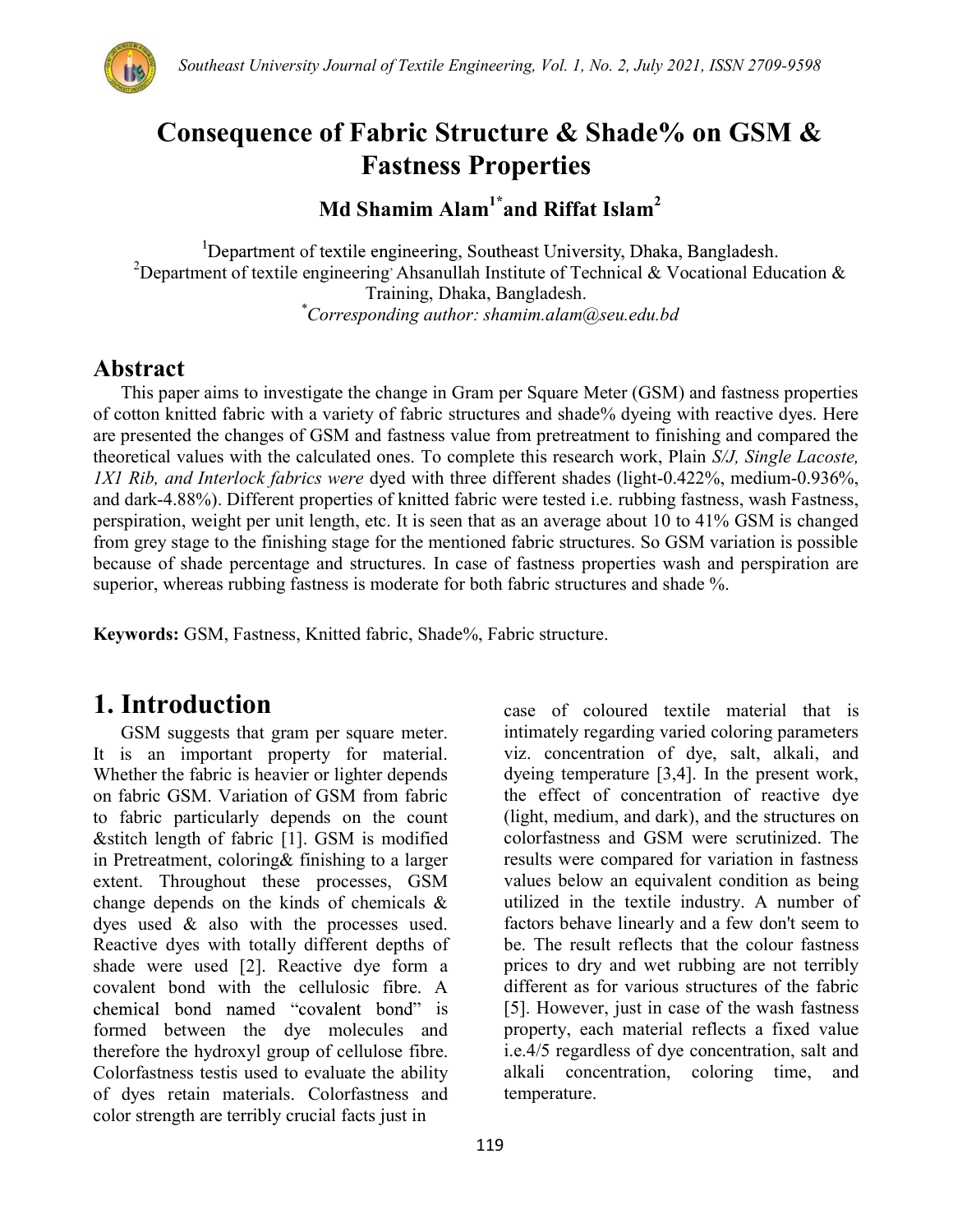

## Consequence of Fabric Structure & Shade% on GSM & Fastness Properties

## Md Shamim Alam<sup>1\*</sup> and Riffat Islam<sup>2</sup>

<sup>1</sup>Department of textile engineering, Southeast University, Dhaka, Bangladesh. <sup>2</sup>Department of textile engineering Ahsanullah Institute of Technical & Vocational Education & Training, Dhaka, Bangladesh. \*Corresponding author: shamim.alam@seu.edu.bd

### Abstract

This paper aims to investigate the change in Gram per Square Meter (GSM) and fastness properties of cotton knitted fabric with a variety of fabric structures and shade% dyeing with reactive dyes. Here are presented the changes of GSM and fastness value from pretreatment to finishing and compared the theoretical values with the calculated ones. To complete this research work, Plain S/J, Single Lacoste, 1X1 Rib, and Interlock fabrics were dyed with three different shades (light-0.422%, medium-0.936%, and dark-4.88%). Different properties of knitted fabric were tested i.e. rubbing fastness, wash Fastness, perspiration, weight per unit length, etc. It is seen that as an average about 10 to 41% GSM is changed from grey stage to the finishing stage for the mentioned fabric structures. So GSM variation is possible because of shade percentage and structures. In case of fastness properties wash and perspiration are superior, whereas rubbing fastness is moderate for both fabric structures and shade %.

Keywords: GSM, Fastness, Knitted fabric, Shade%, Fabric structure.

## 1. Introduction

GSM suggests that gram per square meter. It is an important property for material. Whether the fabric is heavier or lighter depends on fabric GSM. Variation of GSM from fabric to fabric particularly depends on the count &stitch length of fabric [1]. GSM is modified in Pretreatment, coloring& finishing to a larger extent. Throughout these processes, GSM change depends on the kinds of chemicals & dyes used & also with the processes used. Reactive dyes with totally different depths of shade were used [2]. Reactive dye form a covalent bond with the cellulosic fibre. A chemical bond named "covalent bond" is formed between the dye molecules and therefore the hydroxyl group of cellulose fibre. Colorfastness testis used to evaluate the ability of dyes retain materials. Colorfastness and color strength are terribly crucial facts just in

case of coloured textile material that is intimately regarding varied coloring parameters viz. concentration of dye, salt, alkali, and dyeing temperature [3,4]. In the present work, the effect of concentration of reactive dye (light, medium, and dark), and the structures on colorfastness and GSM were scrutinized. The results were compared for variation in fastness values below an equivalent condition as being utilized in the textile industry. A number of factors behave linearly and a few don't seem to be. The result reflects that the colour fastness prices to dry and wet rubbing are not terribly different as for various structures of the fabric [5]. However, just in case of the wash fastness property, each material reflects a fixed value i.e.4/5 regardless of dye concentration, salt and alkali concentration, coloring time, and temperature.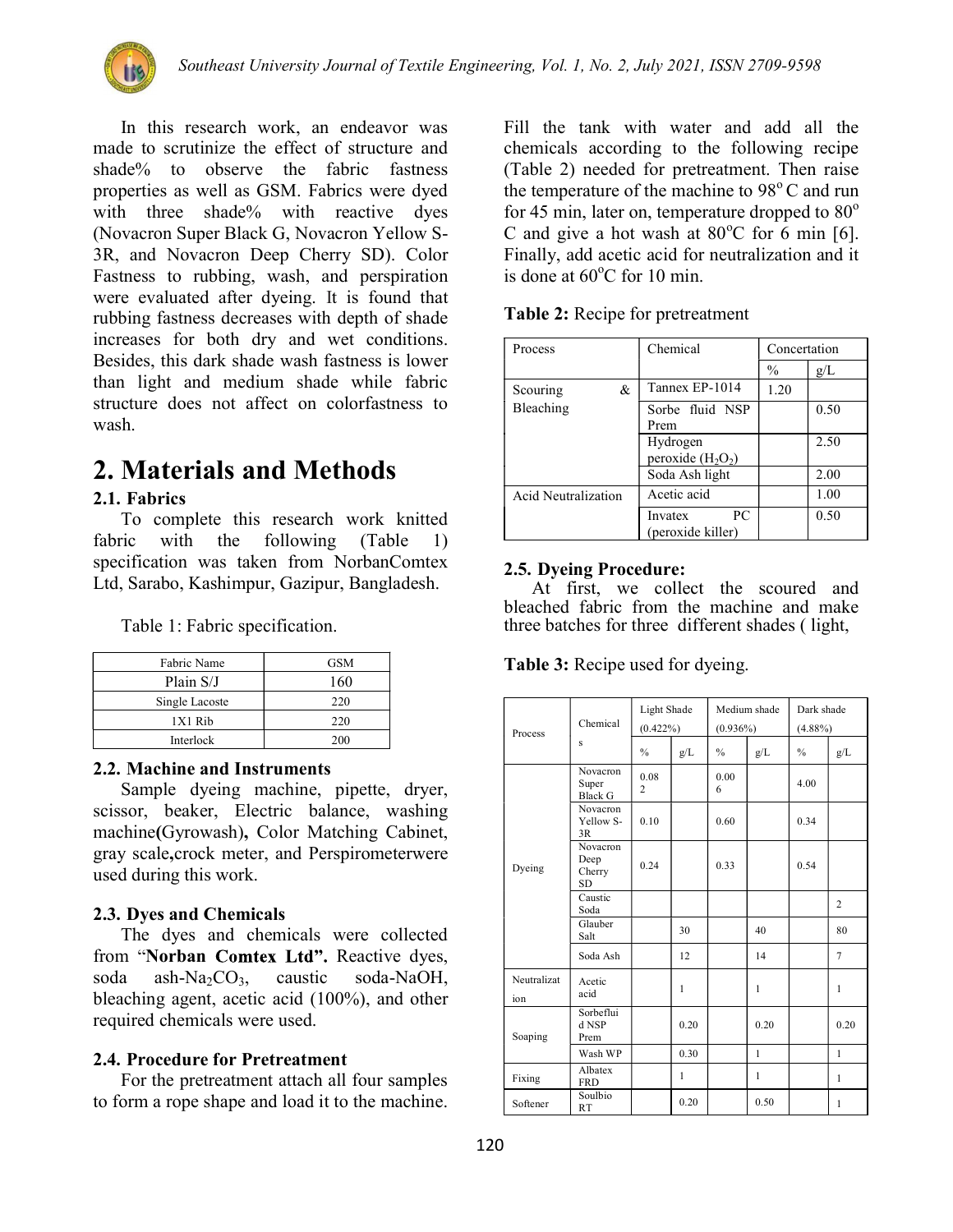

In this research work, an endeavor was made to scrutinize the effect of structure and shade% to observe the fabric fastness properties as well as GSM. Fabrics were dyed with three shade% with reactive dyes (Novacron Super Black G, Novacron Yellow S-3R, and Novacron Deep Cherry SD). Color Fastness to rubbing, wash, and perspiration were evaluated after dyeing. It is found that rubbing fastness decreases with depth of shade increases for both dry and wet conditions. Besides, this dark shade wash fastness is lower than light and medium shade while fabric structure does not affect on colorfastness to wash.

# 2. Materials and Methods

#### 2.1. Fabrics

To complete this research work knitted fabric with the following (Table 1) specification was taken from NorbanComtex Ltd, Sarabo, Kashimpur, Gazipur, Bangladesh.

Table 1: Fabric specification.

| Fabric Name    | <b>GSM</b> |
|----------------|------------|
| Plain S/J      | 160        |
| Single Lacoste | 220        |
| $1X1$ Rib      | 220        |
| Interlock      | 200        |

#### 2.2. Machine and Instruments

Sample dyeing machine, pipette, dryer, scissor, beaker, Electric balance, washing machine(Gyrowash), Color Matching Cabinet, gray scale,crock meter, and Perspirometerwere used during this work.

#### 2.3. Dyes and Chemicals

The dyes and chemicals were collected from "Norban Comtex Ltd". Reactive dyes, soda ash-Na<sub>2</sub>CO<sub>3</sub>, caustic soda-NaOH, bleaching agent, acetic acid (100%), and other required chemicals were used.

#### 2.4. Procedure for Pretreatment

For the pretreatment attach all four samples to form a rope shape and load it to the machine.

Fill the tank with water and add all the chemicals according to the following recipe (Table 2) needed for pretreatment. Then raise the temperature of the machine to  $98^{\circ}$ C and run for 45 min, later on, temperature dropped to  $80^{\circ}$ C and give a hot wash at  $80^{\circ}$ C for 6 min [6]. Finally, add acetic acid for neutralization and it is done at  $60^{\circ}$ C for 10 min.

| Process             | Chemical                            | Concertation  |      |
|---------------------|-------------------------------------|---------------|------|
|                     |                                     | $\frac{0}{0}$ | g/L  |
| &<br>Scouring       | Tannex EP-1014                      | 1.20          |      |
| Bleaching           | Sorbe fluid NSP<br>Prem             |               | 0.50 |
|                     | Hydrogen<br>peroxide $(H_2O_2)$     |               | 2.50 |
|                     | Soda Ash light                      |               | 2.00 |
| Acid Neutralization | Acetic acid                         |               | 1.00 |
|                     | PC.<br>Invatex<br>(peroxide killer) |               | 0.50 |

Table 2: Recipe for pretreatment

#### 2.5. Dyeing Procedure:

At first, we collect the scoured and bleached fabric from the machine and make three batches for three different shades ( light,

Table 3: Recipe used for dyeing.

| Process            | Chemical                                       | Light Shade<br>$(0.422\%)$ |              | Medium shade<br>$(0.936\%)$ |      | Dark shade<br>$(4.88\%)$ |                |
|--------------------|------------------------------------------------|----------------------------|--------------|-----------------------------|------|--------------------------|----------------|
|                    | s                                              | $\frac{0}{0}$              | g/L          | $\%$                        | g/L  | $\frac{0}{0}$            | g/L            |
|                    | Novacron<br>Super<br><b>Black G</b>            | 0.08<br>$\overline{c}$     |              | 0.00<br>6                   |      | 4.00                     |                |
|                    | <b>Novacron</b><br>Yellow S-<br>3R             | 0.10                       |              | 0.60                        |      | 0.34                     |                |
| Dyeing             | <b>Novacron</b><br>Deep<br>Cherry<br><b>SD</b> | 0.24                       |              | 0.33                        |      | 0.54                     |                |
|                    | Caustic<br>Soda                                |                            |              |                             |      |                          | $\overline{2}$ |
|                    | Glauber<br>Salt                                |                            | 30           |                             | 40   |                          | 80             |
|                    | Soda Ash                                       |                            | 12           |                             | 14   |                          | $\tau$         |
| Neutralizat<br>ion | Acetic<br>acid                                 |                            | 1            |                             | 1    |                          | 1              |
| Soaping            | Sorbeflui<br>d NSP<br>Prem                     |                            | 0.20         |                             | 0.20 |                          | 0.20           |
|                    | Wash WP                                        |                            | 0.30         |                             | 1    |                          | 1              |
| Fixing             | Albatex<br><b>FRD</b>                          |                            | $\mathbf{1}$ |                             | 1    |                          | 1              |
| Softener           | Soulbio<br><b>RT</b>                           |                            | 0.20         |                             | 0.50 |                          | 1              |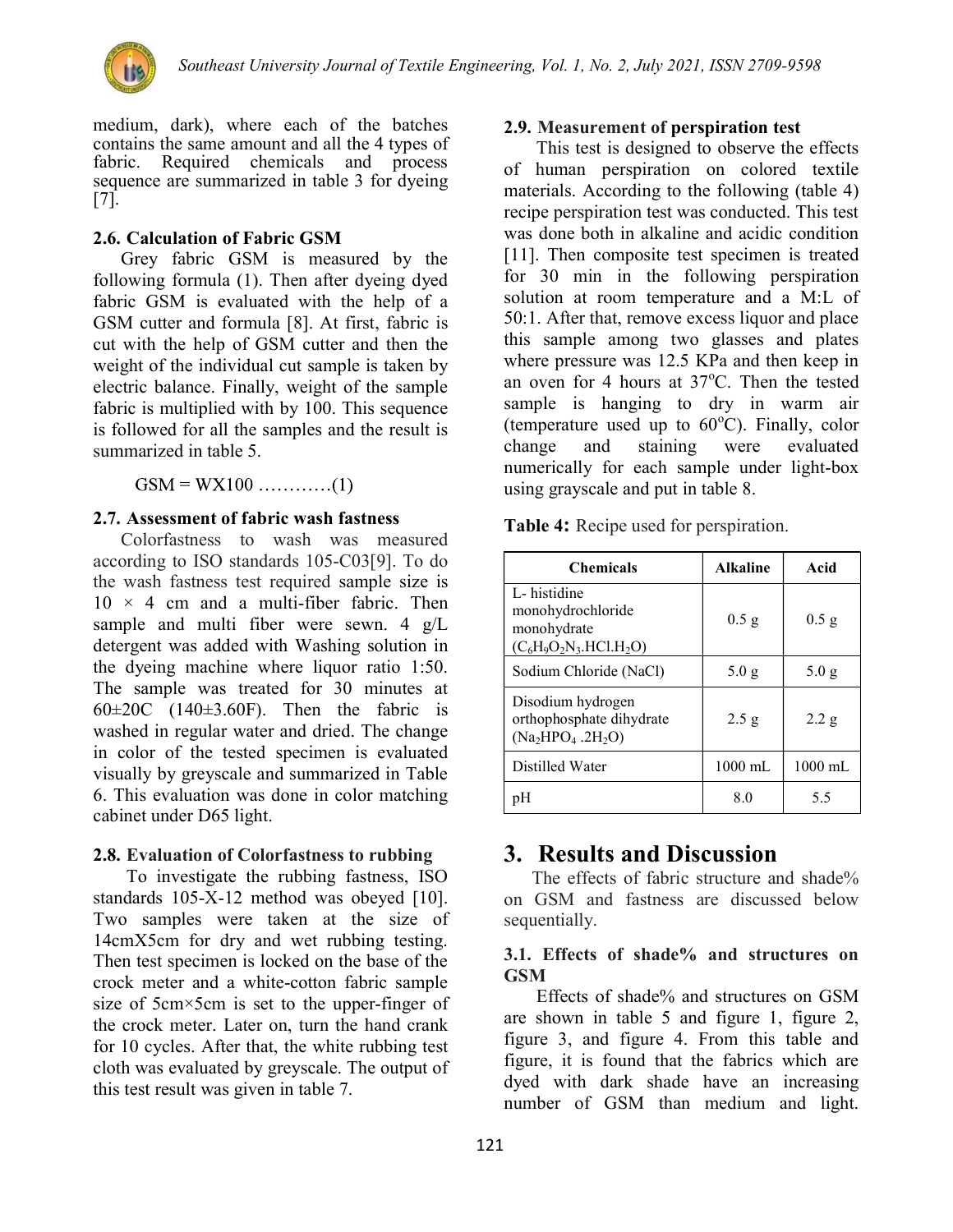

medium, dark), where each of the batches contains the same amount and all the 4 types of fabric. Required chemicals and process sequence are summarized in table 3 for dyeing [7].

#### 2.6. Calculation of Fabric GSM

Grey fabric GSM is measured by the following formula (1). Then after dyeing dyed fabric GSM is evaluated with the help of a GSM cutter and formula [8]. At first, fabric is cut with the help of GSM cutter and then the weight of the individual cut sample is taken by electric balance. Finally, weight of the sample fabric is multiplied with by 100. This sequence is followed for all the samples and the result is summarized in table 5.

#### 2.7. Assessment of fabric wash fastness

Colorfastness to wash was measured according to ISO standards 105-C03[9]. To do the wash fastness test required sample size is  $10 \times 4$  cm and a multi-fiber fabric. Then sample and multi fiber were sewn. 4 g/L detergent was added with Washing solution in the dyeing machine where liquor ratio 1:50. The sample was treated for 30 minutes at  $60\pm20$ C (140 $\pm3.60$ F). Then the fabric is washed in regular water and dried. The change in color of the tested specimen is evaluated visually by greyscale and summarized in Table 6. This evaluation was done in color matching cabinet under D65 light.

#### 2.8. Evaluation of Colorfastness to rubbing

To investigate the rubbing fastness, ISO standards 105-X-12 method was obeyed [10]. Two samples were taken at the size of 14cmX5cm for dry and wet rubbing testing. Then test specimen is locked on the base of the crock meter and a white-cotton fabric sample size of 5cm×5cm is set to the upper-finger of the crock meter. Later on, turn the hand crank for 10 cycles. After that, the white rubbing test cloth was evaluated by greyscale. The output of this test result was given in table 7.

#### 2.9. Measurement of perspiration test

 This test is designed to observe the effects of human perspiration on colored textile materials. According to the following (table 4) recipe perspiration test was conducted. This test was done both in alkaline and acidic condition [11]. Then composite test specimen is treated for 30 min in the following perspiration solution at room temperature and a M:L of 50:1. After that, remove excess liquor and place this sample among two glasses and plates where pressure was 12.5 KPa and then keep in an oven for 4 hours at  $37^{\circ}$ C. Then the tested sample is hanging to dry in warm air (temperature used up to  $60^{\circ}$ C). Finally, color change and staining were evaluated numerically for each sample under light-box using grayscale and put in table 8.

Table 4: Recipe used for perspiration.

| <b>Chemicals</b>                                                             | <b>Alkaline</b>   | Acid              |
|------------------------------------------------------------------------------|-------------------|-------------------|
| L-histidine<br>monohydrochloride<br>monohydrate<br>$(C_6H_9O_2N_3.HCl.H_2O)$ | $0.5$ g           | $0.5$ g           |
| Sodium Chloride (NaCl)                                                       | 5.0 g             | 5.0 g             |
| Disodium hydrogen<br>orthophosphate dihydrate<br>$(Na2HPO4.2H2O)$            | 2.5 g             | 2.2 g             |
| Distilled Water                                                              | $1000 \text{ mL}$ | $1000 \text{ mL}$ |
|                                                                              | 8.0               | 5.5               |

## 3. Results and Discussion

The effects of fabric structure and shade% on GSM and fastness are discussed below sequentially.

#### 3.1. Effects of shade% and structures on **GSM**

 Effects of shade% and structures on GSM are shown in table 5 and figure 1, figure 2, figure 3, and figure 4. From this table and figure, it is found that the fabrics which are dyed with dark shade have an increasing number of GSM than medium and light.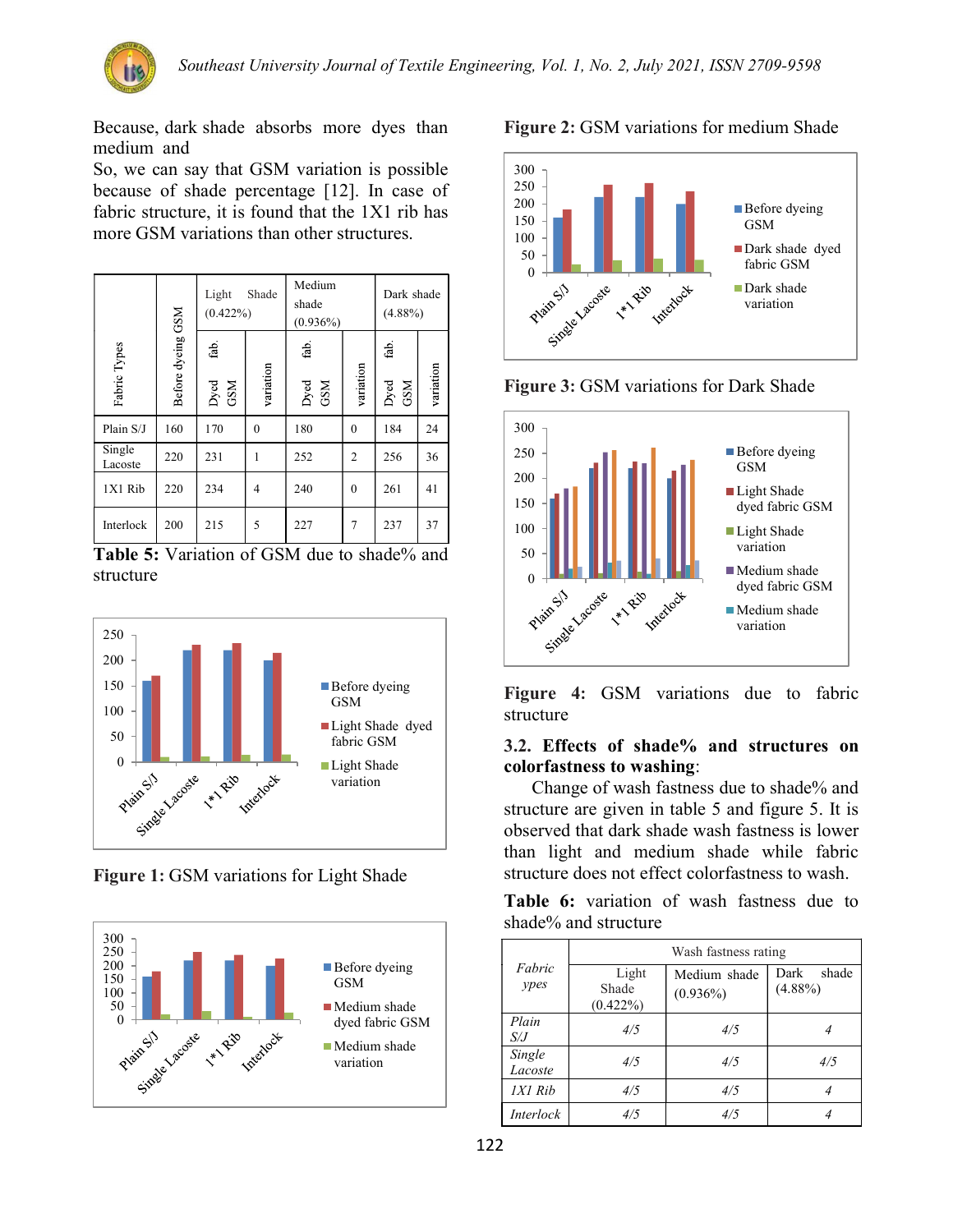

Because, dark shade absorbs more dyes than medium and

So, we can say that GSM variation is possible because of shade percentage [12]. In case of fabric structure, it is found that the 1X1 rib has more GSM variations than other structures.

|                   |                   | Light<br>Shade<br>$(0.422\%)$       |              | Medium<br>shade<br>(0.936%) | Dark shade<br>$(4.88\%)$ |                     |           |
|-------------------|-------------------|-------------------------------------|--------------|-----------------------------|--------------------------|---------------------|-----------|
| Fabric Types      | Before dyeing GSM | $\operatorname{fab}$<br>Dyed<br>GSM | variation    | fab.<br>Dyed<br>GSM         | variation                | fab.<br>GSM<br>Dyed | variation |
| Plain S/J         | 160               | 170                                 | $\mathbf{0}$ | 180                         | $\theta$                 | 184                 | 24        |
| Single<br>Lacoste | 220               | 231                                 | 1            | 252                         | $\overline{2}$           | 256                 | 36        |
| 1X1 Rib           | 220               | 234                                 | 4            | 240                         | $\theta$                 | 261                 | 41        |
| Interlock         | 200               | 215                                 | 5            | 227                         | 7                        | 237                 | 37        |

Table 5: Variation of GSM due to shade% and structure



Figure 1: GSM variations for Light Shade





Figure 3: GSM variations for Dark Shade



Figure 4: GSM variations due to fabric structure

#### 3.2. Effects of shade% and structures on colorfastness to washing:

Change of wash fastness due to shade% and structure are given in table 5 and figure 5. It is observed that dark shade wash fastness is lower than light and medium shade while fabric structure does not effect colorfastness to wash.

Table 6: variation of wash fastness due to shade% and structure

|                   | Wash fastness rating          |                             |                             |  |  |  |  |  |  |
|-------------------|-------------------------------|-----------------------------|-----------------------------|--|--|--|--|--|--|
| Fabric<br>ypes    | Light<br>Shade<br>$(0.422\%)$ | Medium shade<br>$(0.936\%)$ | Dark<br>shade<br>$(4.88\%)$ |  |  |  |  |  |  |
| Plain<br>S/J      | 4/5                           | 4/5                         |                             |  |  |  |  |  |  |
| Single<br>Lacoste | 4/5                           | 4/5                         | 4/5                         |  |  |  |  |  |  |
| 1X1 Rib           | 4/5                           | 4/5                         |                             |  |  |  |  |  |  |
| <i>Interlock</i>  | 4/5                           | 4/5                         |                             |  |  |  |  |  |  |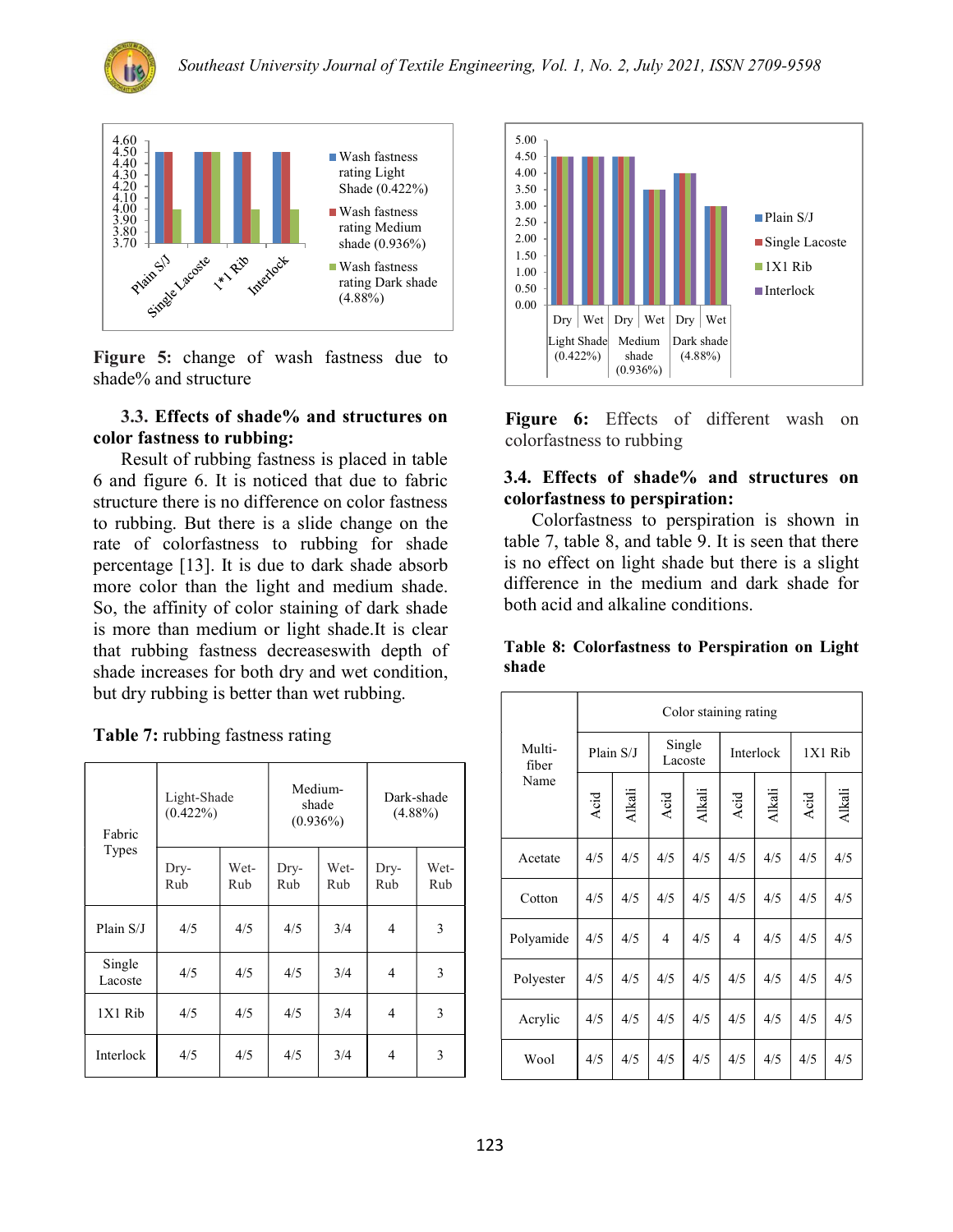



Figure 5: change of wash fastness due to shade% and structure

#### 3.3. Effects of shade% and structures on color fastness to rubbing:

Result of rubbing fastness is placed in table 6 and figure 6. It is noticed that due to fabric structure there is no difference on color fastness to rubbing. But there is a slide change on the rate of colorfastness to rubbing for shade percentage [13]. It is due to dark shade absorb more color than the light and medium shade. So, the affinity of color staining of dark shade is more than medium or light shade.It is clear that rubbing fastness decreaseswith depth of shade increases for both dry and wet condition, but dry rubbing is better than wet rubbing.

Table 7: rubbing fastness rating

| Fabric<br><b>Types</b> | Light-Shade<br>$(0.422\%)$ |             | Medium-<br>$(0.936\%)$ | shade       | Dark-shade<br>$(4.88\%)$ |             |  |
|------------------------|----------------------------|-------------|------------------------|-------------|--------------------------|-------------|--|
|                        | Dry-<br>Rub                | Wet-<br>Rub | Dry-<br>Rub            | Wet-<br>Rub | Dry-<br>Rub              | Wet-<br>Rub |  |
| Plain S/J              | 4/5                        | 4/5         | 4/5                    | 3/4         | 4                        | 3           |  |
| Single<br>Lacoste      | 4/5                        | 4/5         | 4/5                    | 3/4         | 4                        | 3           |  |
| 1X1 Rib                | 4/5                        | 4/5         | 4/5                    | 3/4         | 4                        | 3           |  |
| Interlock              | 4/5                        | 4/5         | 4/5                    | 3/4         | 4                        | 3           |  |



Figure 6: Effects of different wash on colorfastness to rubbing

#### 3.4. Effects of shade% and structures on colorfastness to perspiration:

Colorfastness to perspiration is shown in table 7, table 8, and table 9. It is seen that there is no effect on light shade but there is a slight difference in the medium and dark shade for both acid and alkaline conditions.

|       | Table 8: Colorfastness to Perspiration on Light |  |  |
|-------|-------------------------------------------------|--|--|
| shade |                                                 |  |  |

|                 | Color staining rating |        |                   |        |           |               |         |               |  |  |
|-----------------|-----------------------|--------|-------------------|--------|-----------|---------------|---------|---------------|--|--|
| Multi-<br>fiber | Plain S/J             |        | Single<br>Lacoste |        | Interlock |               | 1X1 Rib |               |  |  |
| Name            | Acid                  | Alkali | Acid              | Alkali | Acid      | <b>Alkali</b> | Acid    | <b>Alkali</b> |  |  |
| Acetate         | 4/5                   | 4/5    | 4/5               | 4/5    | 4/5       | 4/5           | 4/5     | 4/5           |  |  |
| Cotton          | 4/5                   | 4/5    | 4/5               | 4/5    | 4/5       | 4/5           | 4/5     | 4/5           |  |  |
| Polyamide       | 4/5                   | 4/5    | $\overline{4}$    | 4/5    | 4         | 4/5           | 4/5     | 4/5           |  |  |
| Polyester       | 4/5                   | 4/5    | 4/5               | 4/5    | 4/5       | 4/5           | 4/5     | 4/5           |  |  |
| Acrylic         | 4/5                   | 4/5    | 4/5               | 4/5    | 4/5       | 4/5           | 4/5     | 4/5           |  |  |
| Wool            | 4/5                   | 4/5    | 4/5               | 4/5    | 4/5       | 4/5           | 4/5     | 4/5           |  |  |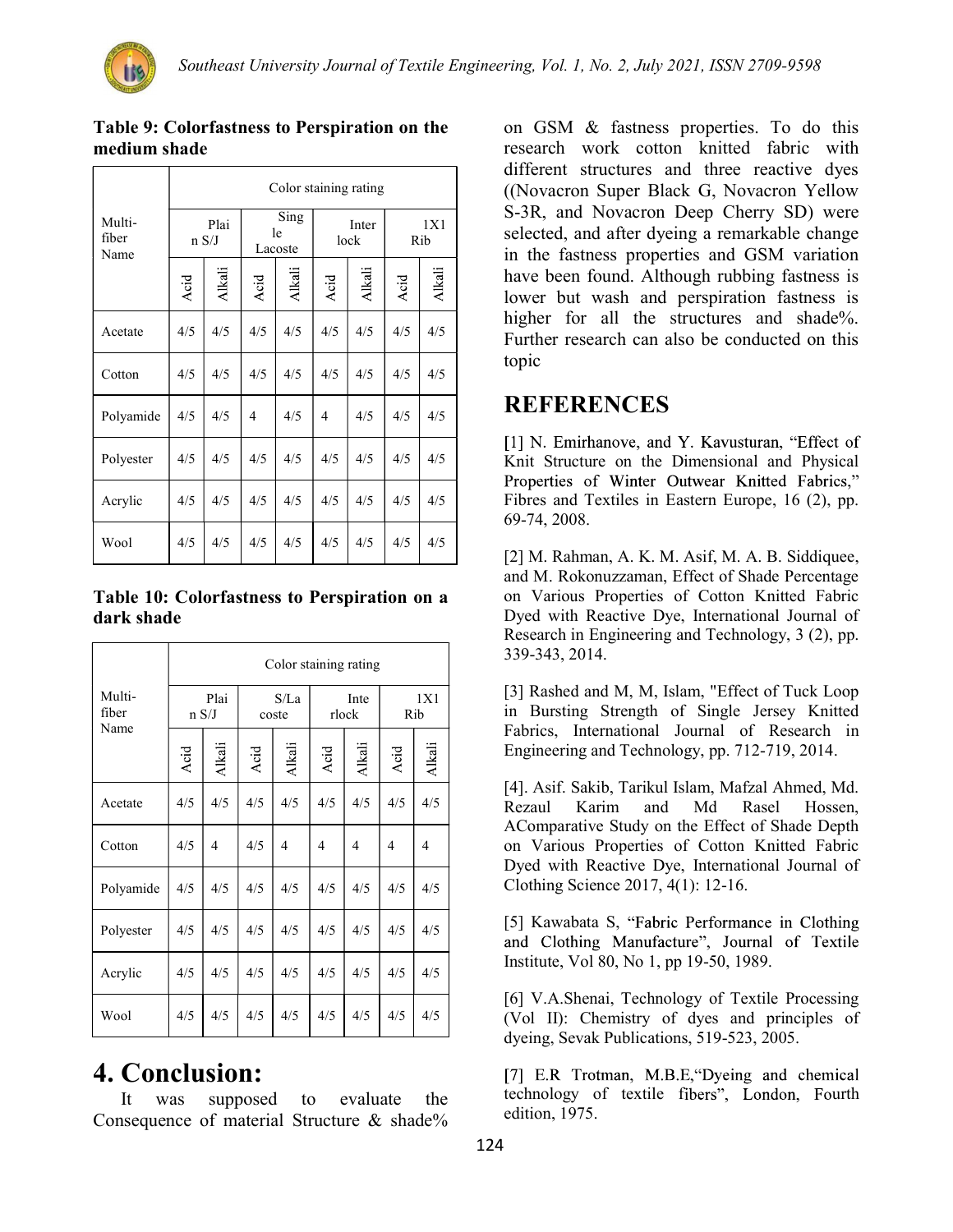┱

 $\Gamma$ 

|                         | Color staining rating |        |                       |        |               |               |            |        |  |
|-------------------------|-----------------------|--------|-----------------------|--------|---------------|---------------|------------|--------|--|
| Multi-<br>fiber<br>Name | Plai<br>n S/J         |        | Sing<br>le<br>Lacoste |        | Inter<br>lock |               | 1X1<br>Rib |        |  |
|                         | Acid                  | Alkali | Acid                  | Alkali | Acid          | <b>Alkali</b> | Acid       | Alkali |  |
| Acetate                 | 4/5                   | 4/5    | 4/5                   | 4/5    | 4/5           | 4/5           | 4/5        | 4/5    |  |
| Cotton                  | 4/5                   | 4/5    | 4/5                   | 4/5    | 4/5           | 4/5           | 4/5        | 4/5    |  |
| Polyamide               | 4/5                   | 4/5    | 4                     | 4/5    | 4             | 4/5           | 4/5        | 4/5    |  |
| Polyester               | 4/5                   | 4/5    | 4/5                   | 4/5    | 4/5           | 4/5           | 4/5        | 4/5    |  |
| Acrylic                 | 4/5                   | 4/5    | 4/5                   | 4/5    | 4/5           | 4/5           | 4/5        | 4/5    |  |
| Wool                    | 4/5                   | 4/5    | 4/5                   | 4/5    | 4/5           | 4/5           | 4/5        | 4/5    |  |

#### Table 9: Colorfastness to Perspiration on the medium shade

#### Table 10: Colorfastness to Perspiration on a dark shade

|                 | Color staining rating |               |               |               |               |        |            |        |  |
|-----------------|-----------------------|---------------|---------------|---------------|---------------|--------|------------|--------|--|
| Multi-<br>fiber |                       | Plai<br>n S/J | S/La<br>coste |               | Inte<br>rlock |        | 1X1<br>Rib |        |  |
| Name            | Acid                  | Alkali        | Acid          | <b>Alkali</b> | Acid          | Alkali | Acid       | Alkali |  |
| Acetate         | 4/5                   | 4/5           | 4/5           | 4/5           | 4/5           | 4/5    | 4/5        | 4/5    |  |
| Cotton          | 4/5                   | 4             | 4/5           | 4             | 4             | 4      | 4          | 4      |  |
| Polyamide       | 4/5                   | 4/5           | 4/5           | 4/5           | 4/5           | 4/5    | 4/5        | 4/5    |  |
| Polyester       | 4/5                   | 4/5           | 4/5           | 4/5           | 4/5           | 4/5    | 4/5        | 4/5    |  |
| Acrylic         | 4/5                   | 4/5           | 4/5           | 4/5           | 4/5           | 4/5    | 4/5        | 4/5    |  |
| Wool            | 4/5                   | 4/5           | 4/5           | 4/5           | 4/5           | 4/5    | 4/5        | 4/5    |  |

# 4. Conclusion:

It was supposed to evaluate the Consequence of material Structure & shade%

on GSM & fastness properties. To do this research work cotton knitted fabric with different structures and three reactive dyes ((Novacron Super Black G, Novacron Yellow S-3R, and Novacron Deep Cherry SD) were selected, and after dyeing a remarkable change in the fastness properties and GSM variation have been found. Although rubbing fastness is lower but wash and perspiration fastness is higher for all the structures and shade%. Further research can also be conducted on this topic

## REFERENCES

[1] N. Emirhanove, and Y. Kavusturan, "Effect of Knit Structure on the Dimensional and Physical Properties of Winter Outwear Knitted Fabrics," Fibres and Textiles in Eastern Europe, 16 (2), pp. 69-74, 2008.

[2] M. Rahman, A. K. M. Asif, M. A. B. Siddiquee, and M. Rokonuzzaman, Effect of Shade Percentage on Various Properties of Cotton Knitted Fabric Dyed with Reactive Dye, International Journal of Research in Engineering and Technology, 3 (2), pp. 339-343, 2014.

[3] Rashed and M, M, Islam, "Effect of Tuck Loop in Bursting Strength of Single Jersey Knitted Fabrics, International Journal of Research in Engineering and Technology, pp. 712-719, 2014.

[4]. Asif. Sakib, Tarikul Islam, Mafzal Ahmed, Md. Rezaul Karim and Md Rasel Hossen, AComparative Study on the Effect of Shade Depth on Various Properties of Cotton Knitted Fabric Dyed with Reactive Dye, International Journal of Clothing Science 2017, 4(1): 12-16.

[5] Kawabata S, "Fabric Performance in Clothing and Clothing Manufacture", Journal of Textile Institute, Vol 80, No 1, pp 19-50, 1989.

[6] V.A.Shenai, Technology of Textile Processing (Vol II): Chemistry of dyes and principles of dyeing, Sevak Publications, 519-523, 2005.

[7] E.R. Trotman, M.B.E. "Dyeing and chemical technology of textile fibers", London, Fourth edition, 1975.